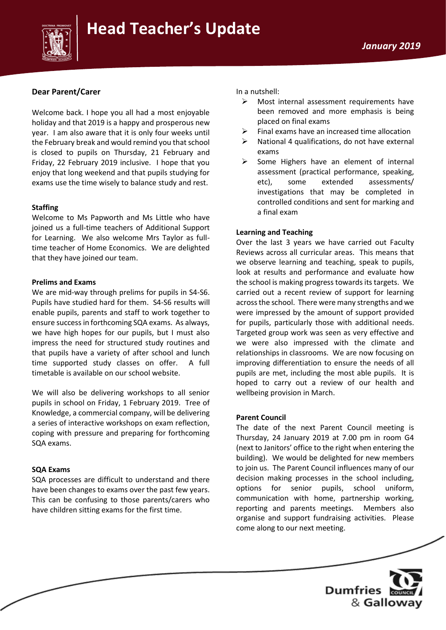



### **Dear Parent/Carer**

Welcome back. I hope you all had a most enjoyable holiday and that 2019 is a happy and prosperous new year. I am also aware that it is only four weeks until the February break and would remind you that school is closed to pupils on Thursday, 21 February and Friday, 22 February 2019 inclusive. I hope that you enjoy that long weekend and that pupils studying for exams use the time wisely to balance study and rest.

### **Staffing**

Welcome to Ms Papworth and Ms Little who have joined us a full-time teachers of Additional Support for Learning. We also welcome Mrs Taylor as fulltime teacher of Home Economics. We are delighted that they have joined our team.

### **Prelims and Exams**

We are mid-way through prelims for pupils in S4-S6. Pupils have studied hard for them. S4-S6 results will enable pupils, parents and staff to work together to ensure success in forthcoming SQA exams. As always, we have high hopes for our pupils, but I must also impress the need for structured study routines and that pupils have a variety of after school and lunch time supported study classes on offer. A full timetable is available on our school website.

We will also be delivering workshops to all senior pupils in school on Friday, 1 February 2019. Tree of Knowledge, a commercial company, will be delivering a series of interactive workshops on exam reflection, coping with pressure and preparing for forthcoming SQA exams.

### **SQA Exams**

SQA processes are difficult to understand and there have been changes to exams over the past few years. This can be confusing to those parents/carers who have children sitting exams for the first time.

In a nutshell:

- $\triangleright$  Most internal assessment requirements have been removed and more emphasis is being placed on final exams
- $\triangleright$  Final exams have an increased time allocation
- $\triangleright$  National 4 qualifications, do not have external exams
- Some Highers have an element of internal assessment (practical performance, speaking, etc), some extended assessments/ investigations that may be completed in controlled conditions and sent for marking and a final exam

### **Learning and Teaching**

Over the last 3 years we have carried out Faculty Reviews across all curricular areas. This means that we observe learning and teaching, speak to pupils, look at results and performance and evaluate how the school is making progress towards its targets. We carried out a recent review of support for learning across the school. There were many strengths and we were impressed by the amount of support provided for pupils, particularly those with additional needs. Targeted group work was seen as very effective and we were also impressed with the climate and relationships in classrooms. We are now focusing on improving differentiation to ensure the needs of all pupils are met, including the most able pupils. It is hoped to carry out a review of our health and wellbeing provision in March.

### **Parent Council**

The date of the next Parent Council meeting is Thursday, 24 January 2019 at 7.00 pm in room G4 (next to Janitors' office to the right when entering the building). We would be delighted for new members to join us. The Parent Council influences many of our decision making processes in the school including, options for senior pupils, school uniform, communication with home, partnership working, reporting and parents meetings. Members also organise and support fundraising activities. Please come along to our next meeting.

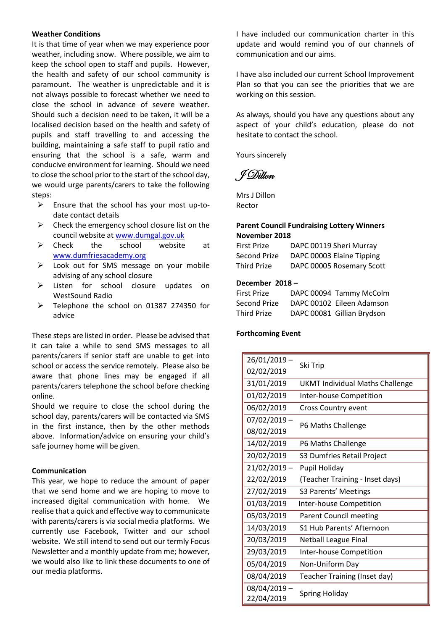### **Weather Conditions**

It is that time of year when we may experience poor weather, including snow. Where possible, we aim to keep the school open to staff and pupils. However, the health and safety of our school community is paramount. The weather is unpredictable and it is not always possible to forecast whether we need to close the school in advance of severe weather. Should such a decision need to be taken, it will be a localised decision based on the health and safety of pupils and staff travelling to and accessing the building, maintaining a safe staff to pupil ratio and ensuring that the school is a safe, warm and conducive environment for learning. Should we need to close the school prior to the start of the school day, we would urge parents/carers to take the following steps:

- $\triangleright$  Ensure that the school has your most up-todate contact details
- $\triangleright$  Check the emergency school closure list on the council website at [www.dumgal.gov.uk](http://www.dumgal.gov.uk/)
- ➢ Check the school website at [www.dumfriesacademy.org](http://www.dumfriesacademy.org/)
- ➢ Look out for SMS message on your mobile advising of any school closure
- ➢ Listen for school closure updates on WestSound Radio
- ➢ Telephone the school on 01387 274350 for advice

These steps are listed in order. Please be advised that it can take a while to send SMS messages to all parents/carers if senior staff are unable to get into school or access the service remotely. Please also be aware that phone lines may be engaged if all parents/carers telephone the school before checking online.

Should we require to close the school during the school day, parents/carers will be contacted via SMS in the first instance, then by the other methods above. Information/advice on ensuring your child's safe journey home will be given.

### **Communication**

This year, we hope to reduce the amount of paper that we send home and we are hoping to move to increased digital communication with home. We realise that a quick and effective way to communicate with parents/carers is via social media platforms. We currently use Facebook, Twitter and our school website. We still intend to send out our termly Focus Newsletter and a monthly update from me; however, we would also like to link these documents to one of our media platforms.

I have included our communication charter in this update and would remind you of our channels of communication and our aims.

I have also included our current School Improvement Plan so that you can see the priorities that we are working on this session.

As always, should you have any questions about any aspect of your child's education, please do not hesitate to contact the school.

Yours sincerely

J Dillon

Mrs J Dillon Rector

### **Parent Council Fundraising Lottery Winners November 2018**

First Prize DAPC 00119 Sheri Murray Second Prize DAPC 00003 Elaine Tipping Third Prize DAPC 00005 Rosemary Scott

### **December 2018 –**

| <b>First Prize</b> | DAPC 00094 Tammy McColm    |
|--------------------|----------------------------|
| Second Prize       | DAPC 00102 Eileen Adamson  |
| <b>Third Prize</b> | DAPC 00081 Gillian Brydson |

### **Forthcoming Event**

| 26/01/2019                 | Ski Trip                               |  |
|----------------------------|----------------------------------------|--|
| 02/02/2019                 |                                        |  |
| 31/01/2019                 | <b>UKMT Individual Maths Challenge</b> |  |
| 01/02/2019                 | Inter-house Competition                |  |
| 06/02/2019                 | Cross Country event                    |  |
| $07/02/2019 -$             |                                        |  |
| 08/02/2019                 | P6 Maths Challenge                     |  |
| 14/02/2019                 | P6 Maths Challenge                     |  |
| 20/02/2019                 | S3 Dumfries Retail Project             |  |
| 21/02/2019-                | Pupil Holiday                          |  |
| 22/02/2019                 | (Teacher Training - Inset days)        |  |
| 27/02/2019                 | S3 Parents' Meetings                   |  |
| 01/03/2019                 | Inter-house Competition                |  |
| 05/03/2019                 | <b>Parent Council meeting</b>          |  |
| 14/03/2019                 | S1 Hub Parents' Afternoon              |  |
| 20/03/2019                 | <b>Netball League Final</b>            |  |
| 29/03/2019                 | Inter-house Competition                |  |
| 05/04/2019                 | Non-Uniform Day                        |  |
| 08/04/2019                 | Teacher Training (Inset day)           |  |
| 08/04/2019 -<br>22/04/2019 | <b>Spring Holiday</b>                  |  |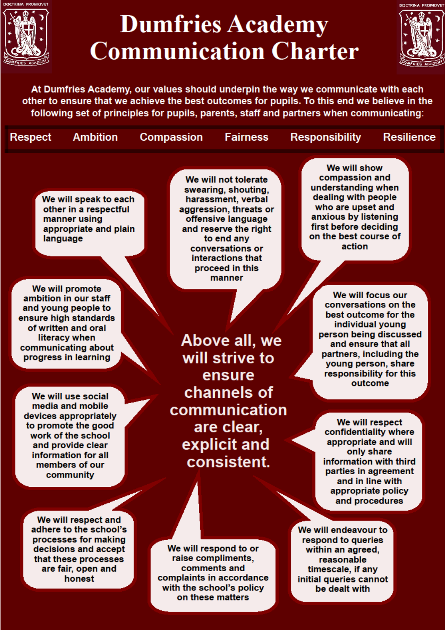

**Respect** 

### **Dumfries Academy Communication Charter**



**Resilience** 

At Dumfries Academy, our values should underpin the way we communicate with each other to ensure that we achieve the best outcomes for pupils. To this end we believe in the following set of principles for pupils, parents, staff and partners when communicating:

**Fairness** 

**Compassion** 

We will speak to each other in a respectful manner using appropriate and plain language

**Ambition** 

We will promote ambition in our staff and young people to ensure high standards of written and oral literacy when communicating about progress in learning

We will use social media and mobile devices appropriately to promote the good work of the school and provide clear information for all members of our community

We will not tolerate swearing, shouting, harassment, verbal aggression, threats or offensive language and reserve the right to end any conversations or interactions that proceed in this manner

Above all, we will strive to ensure channels of communication are clear, explicit and consistent.

We will show compassion and understanding when dealing with people who are upset and anxious by listening first before deciding on the best course of action

**Responsibility** 

We will focus our conversations on the best outcome for the individual voung person being discussed and ensure that all partners, including the young person, share responsibility for this outcome

We will respect confidentiality where appropriate and will only share information with third parties in agreement and in line with appropriate policy and procedures

We will respect and adhere to the school's processes for making decisions and accept that these processes are fair, open and honest

We will respond to or raise compliments, comments and complaints in accordance with the school's policy on these matters

We will endeavour to respond to queries within an agreed, reasonable timescale, if any initial queries cannot be dealt with